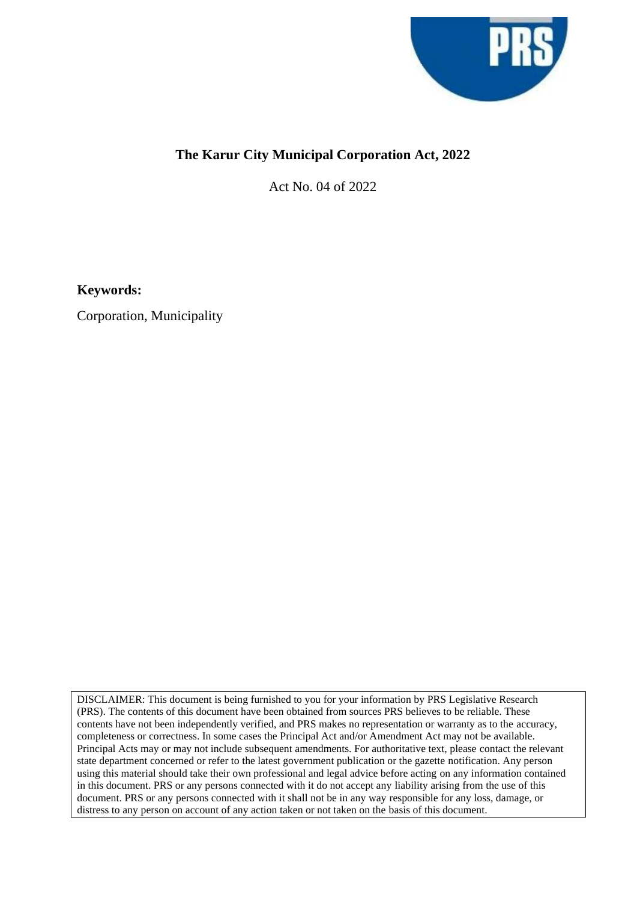

## **The Karur City Municipal Corporation Act, 2022**

Act No. 04 of 2022

**Keywords:**

Corporation, Municipality

DISCLAIMER: This document is being furnished to you for your information by PRS Legislative Research (PRS). The contents of this document have been obtained from sources PRS believes to be reliable. These contents have not been independently verified, and PRS makes no representation or warranty as to the accuracy, completeness or correctness. In some cases the Principal Act and/or Amendment Act may not be available. Principal Acts may or may not include subsequent amendments. For authoritative text, please contact the relevant state department concerned or refer to the latest government publication or the gazette notification. Any person using this material should take their own professional and legal advice before acting on any information contained in this document. PRS or any persons connected with it do not accept any liability arising from the use of this document. PRS or any persons connected with it shall not be in any way responsible for any loss, damage, or distress to any person on account of any action taken or not taken on the basis of this document.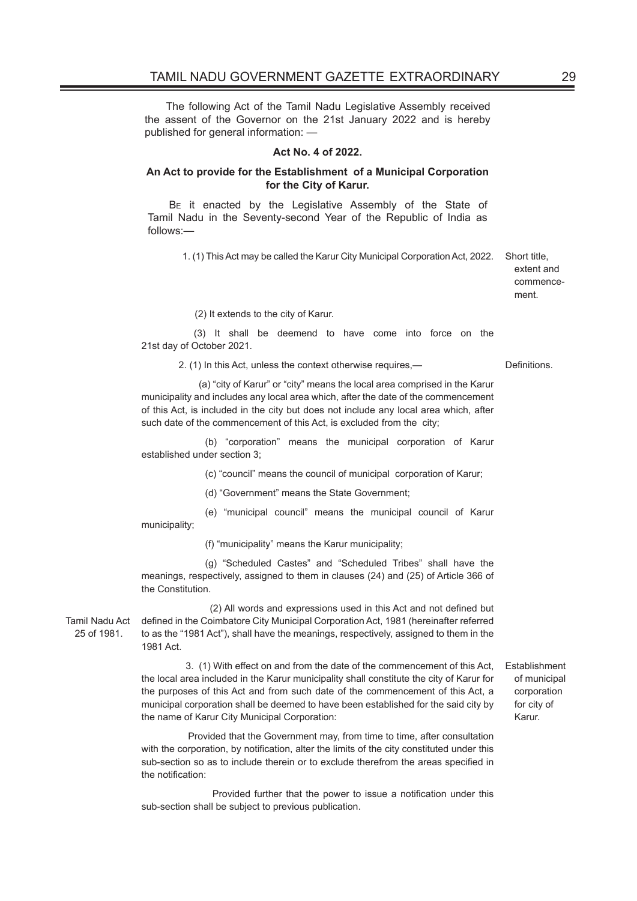The following Act of the Tamil Nadu Legislative Assembly received the assent of the Governor on the 21st January 2022 and is hereby published for general information: —

## **Act No. 4 of 2022.**

## **An Act to provide for the Establishment of a Municipal Corporation for the City of Karur.**

BE it enacted by the Legislative Assembly of the State of Tamil Nadu in the Seventy-second Year of the Republic of India as follows:—

1. (1) This Act may be called the Karur City Municipal Corporation Act, 2022. Short title,

extent and commencement.

(2) It extends to the city of Karur.

 (3) It shall be deemend to have come into force on the 21st day of October 2021.

2. (1) In this Act, unless the context otherwise requires,— Definitions.

 (a) "city of Karur" or "city" means the local area comprised in the Karur municipality and includes any local area which, after the date of the commencement of this Act, is included in the city but does not include any local area which, after such date of the commencement of this Act, is excluded from the city;

 (b) "corporation" means the municipal corporation of Karur established under section 3;

(c) "council" means the council of municipal corporation of Karur;

(d) "Government" means the State Government;

 (e) "municipal council" means the municipal council of Karur municipality;

(f) "municipality" means the Karur municipality;

 (g) "Scheduled Castes" and "Scheduled Tribes" shall have the meanings, respectively, assigned to them in clauses (24) and (25) of Article 366 of the Constitution.

Tamil Nadu Act 25 of 1981.

 (2) All words and expressions used in this Act and not defined but defined in the Coimbatore City Municipal Corporation Act, 1981 (hereinafter referred to as the "1981 Act"), shall have the meanings, respectively, assigned to them in the 1981 Act.

 3. (1) With effect on and from the date of the commencement of this Act, the local area included in the Karur municipality shall constitute the city of Karur for the purposes of this Act and from such date of the commencement of this Act, a municipal corporation shall be deemed to have been established for the said city by the name of Karur City Municipal Corporation:

 Provided that the Government may, from time to time, after consultation with the corporation, by notification, alter the limits of the city constituted under this sub-section so as to include therein or to exclude therefrom the areas specified in the notification:

 Provided further that the power to issue a notification under this sub-section shall be subject to previous publication.

Establishment of municipal corporation for city of Karur.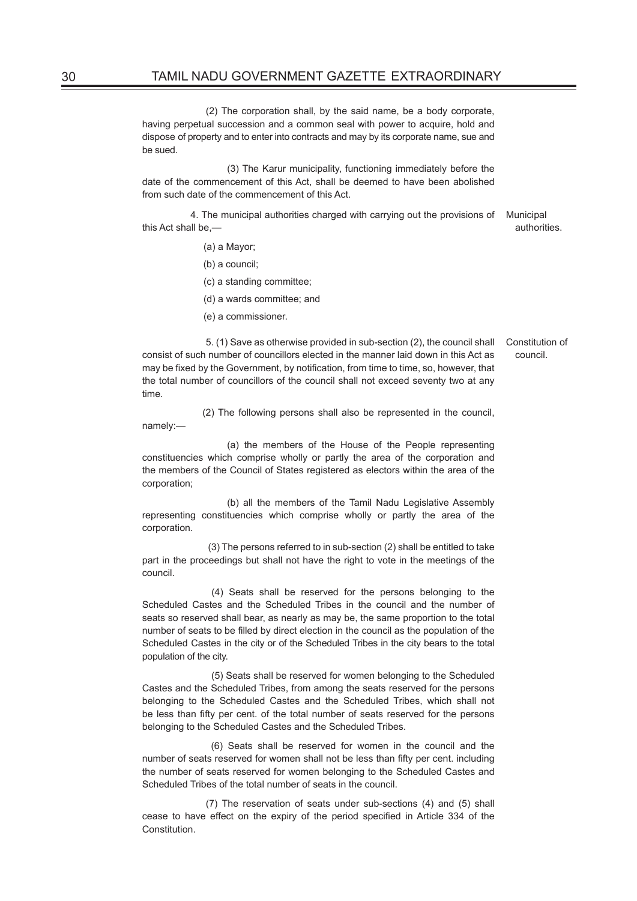(2) The corporation shall, by the said name, be a body corporate, having perpetual succession and a common seal with power to acquire, hold and dispose of property and to enter into contracts and may by its corporate name, sue and be sued.

 (3) The Karur municipality, functioning immediately before the date of the commencement of this Act, shall be deemed to have been abolished from such date of the commencement of this Act.

 4. The municipal authorities charged with carrying out the provisions of Municipal this Act shall be, authorities.

(a) a Mayor;

(b) a council;

(c) a standing committee;

(d) a wards committee; and

(e) a commissioner.

Constitution of council.

 5. (1) Save as otherwise provided in sub-section (2), the council shall consist of such number of councillors elected in the manner laid down in this Act as may be fixed by the Government, by notification, from time to time, so, however, that the total number of councillors of the council shall not exceed seventy two at any time.

 (2) The following persons shall also be represented in the council, namely:—

 (a) the members of the House of the People representing constituencies which comprise wholly or partly the area of the corporation and the members of the Council of States registered as electors within the area of the corporation;

 (b) all the members of the Tamil Nadu Legislative Assembly representing constituencies which comprise wholly or partly the area of the corporation.

 (3) The persons referred to in sub-section (2) shall be entitled to take part in the proceedings but shall not have the right to vote in the meetings of the council.

 (4) Seats shall be reserved for the persons belonging to the Scheduled Castes and the Scheduled Tribes in the council and the number of seats so reserved shall bear, as nearly as may be, the same proportion to the total number of seats to be filled by direct election in the council as the population of the Scheduled Castes in the city or of the Scheduled Tribes in the city bears to the total population of the city.

 (5) Seats shall be reserved for women belonging to the Scheduled Castes and the Scheduled Tribes, from among the seats reserved for the persons belonging to the Scheduled Castes and the Scheduled Tribes, which shall not be less than fifty per cent. of the total number of seats reserved for the persons belonging to the Scheduled Castes and the Scheduled Tribes.

 (6) Seats shall be reserved for women in the council and the number of seats reserved for women shall not be less than fifty per cent. including the number of seats reserved for women belonging to the Scheduled Castes and Scheduled Tribes of the total number of seats in the council.

 (7) The reservation of seats under sub-sections (4) and (5) shall cease to have effect on the expiry of the period specified in Article 334 of the Constitution.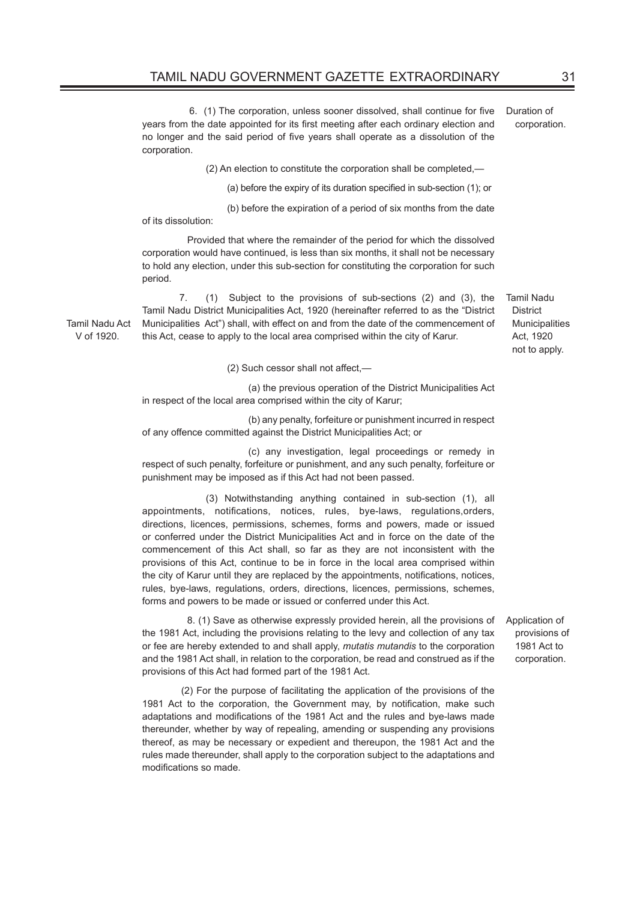6. (1) The corporation, unless sooner dissolved, shall continue for five years from the date appointed for its first meeting after each ordinary election and no longer and the said period of five years shall operate as a dissolution of the corporation. Duration of

(2) An election to constitute the corporation shall be completed,—

(a) before the expiry of its duration specified in sub-section (1); or

(b) before the expiration of a period of six months from the date

of its dissolution:

V of 1920.

 Provided that where the remainder of the period for which the dissolved corporation would have continued, is less than six months, it shall not be necessary to hold any election, under this sub-section for constituting the corporation for such period.

Tamil Nadu Act 7. (1) Subject to the provisions of sub-sections (2) and (3), the Tamil Nadu District Municipalities Act, 1920 (hereinafter referred to as the "District Municipalities Act") shall, with effect on and from the date of the commencement of this Act, cease to apply to the local area comprised within the city of Karur.

Tamil Nadu **District Municipalities** Act, 1920 not to apply.

(2) Such cessor shall not affect,—

 (a) the previous operation of the District Municipalities Act in respect of the local area comprised within the city of Karur;

 (b) any penalty, forfeiture or punishment incurred in respect of any offence committed against the District Municipalities Act; or

 (c) any investigation, legal proceedings or remedy in respect of such penalty, forfeiture or punishment, and any such penalty, forfeiture or punishment may be imposed as if this Act had not been passed.

 (3) Notwithstanding anything contained in sub-section (1), all appointments, notifications, notices, rules, bye-laws, regulations,orders, directions, licences, permissions, schemes, forms and powers, made or issued or conferred under the District Municipalities Act and in force on the date of the commencement of this Act shall, so far as they are not inconsistent with the provisions of this Act, continue to be in force in the local area comprised within the city of Karur until they are replaced by the appointments, notifications, notices, rules, bye-laws, regulations, orders, directions, licences, permissions, schemes, forms and powers to be made or issued or conferred under this Act.

 8. (1) Save as otherwise expressly provided herein, all the provisions of the 1981 Act, including the provisions relating to the levy and collection of any tax or fee are hereby extended to and shall apply, *mutatis mutandis* to the corporation and the 1981 Act shall, in relation to the corporation, be read and construed as if the provisions of this Act had formed part of the 1981 Act.

 (2) For the purpose of facilitating the application of the provisions of the 1981 Act to the corporation, the Government may, by notification, make such adaptations and modifications of the 1981 Act and the rules and bye-laws made thereunder, whether by way of repealing, amending or suspending any provisions thereof, as may be necessary or expedient and thereupon, the 1981 Act and the rules made thereunder, shall apply to the corporation subject to the adaptations and modifications so made.

Application of provisions of 1981 Act to corporation.

corporation.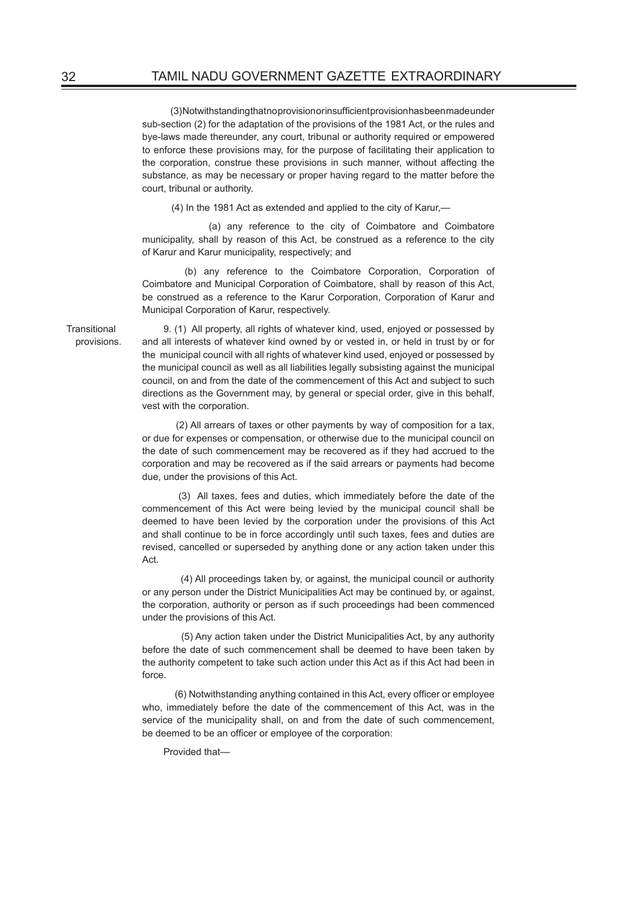(3) Notwithstanding that no provision or insufficient provision has been made under sub-section (2) for the adaptation of the provisions of the 1981 Act, or the rules and bye-laws made thereunder, any court, tribunal or authority required or empowered to enforce these provisions may, for the purpose of facilitating their application to the corporation, construe these provisions in such manner, without affecting the substance, as may be necessary or proper having regard to the matter before the court, tribunal or authority.

(4) In the 1981 Act as extended and applied to the city of Karur,—

 (a) any reference to the city of Coimbatore and Coimbatore municipality, shall by reason of this Act, be construed as a reference to the city of Karur and Karur municipality, respectively; and

 (b) any reference to the Coimbatore Corporation, Corporation of Coimbatore and Municipal Corporation of Coimbatore, shall by reason of this Act, be construed as a reference to the Karur Corporation, Corporation of Karur and Municipal Corporation of Karur, respectively.

9. (1) All property, all rights of whatever kind, used, enjoyed or possessed by and all interests of whatever kind owned by or vested in, or held in trust by or for the municipal council with all rights of whatever kind used, enjoyed or possessed by the municipal council as well as all liabilities legally subsisting against the municipal council, on and from the date of the commencement of this Act and subject to such directions as the Government may, by general or special order, give in this behalf, vest with the corporation.

 (2) All arrears of taxes or other payments by way of composition for a tax, or due for expenses or compensation, or otherwise due to the municipal council on the date of such commencement may be recovered as if they had accrued to the corporation and may be recovered as if the said arrears or payments had become due, under the provisions of this Act.

 (3) All taxes, fees and duties, which immediately before the date of the commencement of this Act were being levied by the municipal council shall be deemed to have been levied by the corporation under the provisions of this Act and shall continue to be in force accordingly until such taxes, fees and duties are revised, cancelled or superseded by anything done or any action taken under this Act.

 (4) All proceedings taken by, or against, the municipal council or authority or any person under the District Municipalities Act may be continued by, or against, the corporation, authority or person as if such proceedings had been commenced under the provisions of this Act.

 (5) Any action taken under the District Municipalities Act, by any authority before the date of such commencement shall be deemed to have been taken by the authority competent to take such action under this Act as if this Act had been in force.

 (6) Notwithstanding anything contained in this Act, every officer or employee who, immediately before the date of the commencement of this Act, was in the service of the municipality shall, on and from the date of such commencement, be deemed to be an officer or employee of the corporation:

Provided that—

Transitional provisions.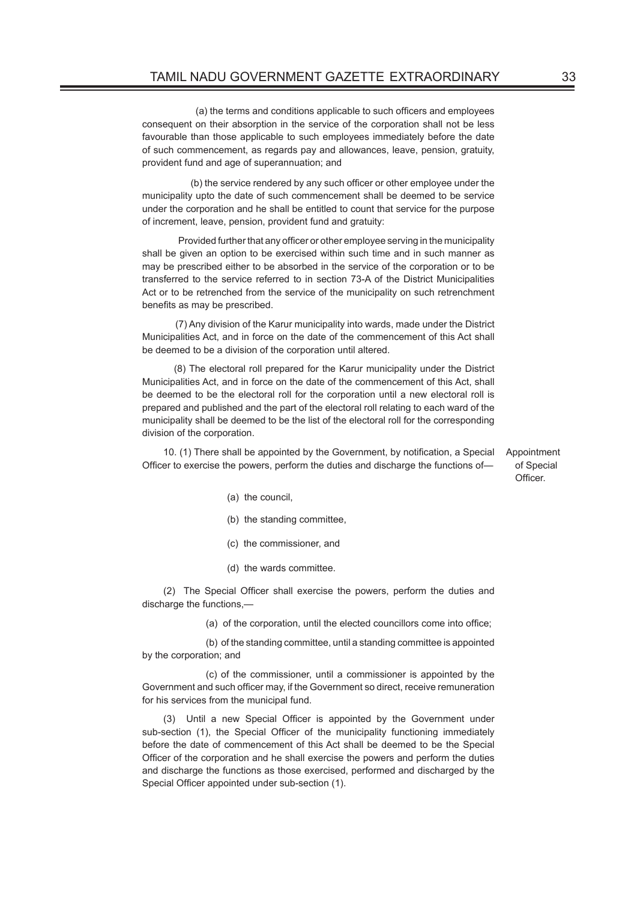(a) the terms and conditions applicable to such officers and employees consequent on their absorption in the service of the corporation shall not be less favourable than those applicable to such employees immediately before the date of such commencement, as regards pay and allowances, leave, pension, gratuity, provident fund and age of superannuation; and

 (b) the service rendered by any such officer or other employee under the municipality upto the date of such commencement shall be deemed to be service under the corporation and he shall be entitled to count that service for the purpose of increment, leave, pension, provident fund and gratuity:

 Provided further that any officer or other employee serving in the municipality shall be given an option to be exercised within such time and in such manner as may be prescribed either to be absorbed in the service of the corporation or to be transferred to the service referred to in section 73-A of the District Municipalities Act or to be retrenched from the service of the municipality on such retrenchment benefits as may be prescribed.

 (7) Any division of the Karur municipality into wards, made under the District Municipalities Act, and in force on the date of the commencement of this Act shall be deemed to be a division of the corporation until altered.

 (8) The electoral roll prepared for the Karur municipality under the District Municipalities Act, and in force on the date of the commencement of this Act, shall be deemed to be the electoral roll for the corporation until a new electoral roll is prepared and published and the part of the electoral roll relating to each ward of the municipality shall be deemed to be the list of the electoral roll for the corresponding division of the corporation.

10. (1) There shall be appointed by the Government, by notification, a Special Officer to exercise the powers, perform the duties and discharge the functions of—

Appointment of Special Officer.

- (a) the council,
- (b) the standing committee,
- (c) the commissioner, and
- (d) the wards committee.

(2) The Special Officer shall exercise the powers, perform the duties and discharge the functions,—

(a) of the corporation, until the elected councillors come into office;

 (b) of the standing committee, until a standing committee is appointed by the corporation; and

 (c) of the commissioner, until a commissioner is appointed by the Government and such officer may, if the Government so direct, receive remuneration for his services from the municipal fund.

(3) Until a new Special Officer is appointed by the Government under sub-section (1), the Special Officer of the municipality functioning immediately before the date of commencement of this Act shall be deemed to be the Special Officer of the corporation and he shall exercise the powers and perform the duties and discharge the functions as those exercised, performed and discharged by the Special Officer appointed under sub-section (1).